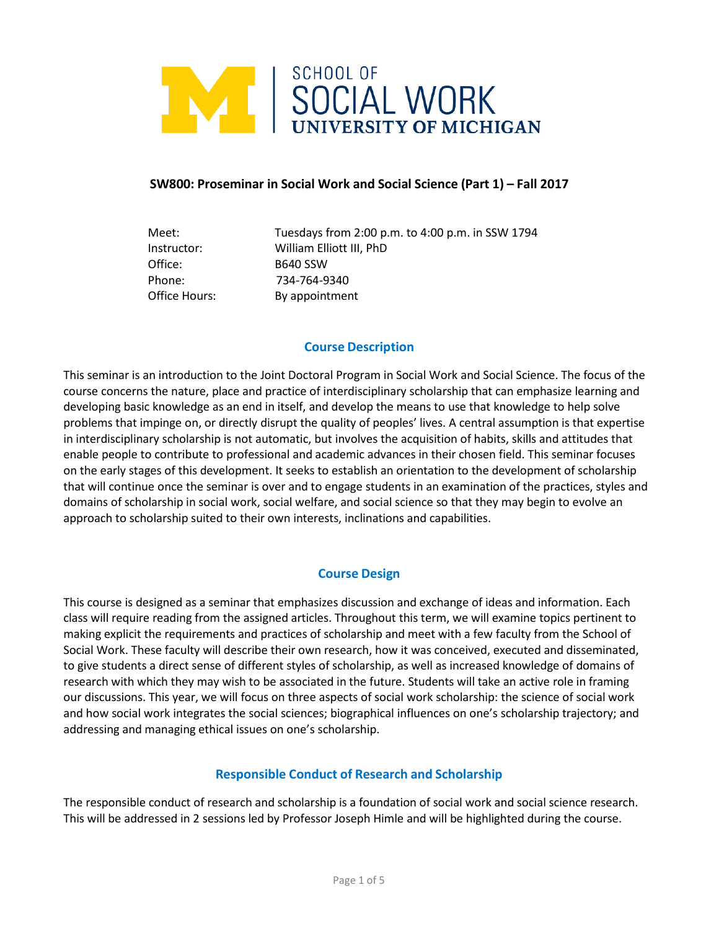

## **SW800: Proseminar in Social Work and Social Science (Part 1) – Fall 2017**

Meet: Tuesdays from 2:00 p.m. to 4:00 p.m. in SSW 1794 Instructor: William Elliott III, PhD Office: B640 SSW Phone: 734-764-9340 Office Hours: By appointment

## **Course Description**

This seminar is an introduction to the Joint Doctoral Program in Social Work and Social Science. The focus of the course concerns the nature, place and practice of interdisciplinary scholarship that can emphasize learning and developing basic knowledge as an end in itself, and develop the means to use that knowledge to help solve problems that impinge on, or directly disrupt the quality of peoples' lives. A central assumption is that expertise in interdisciplinary scholarship is not automatic, but involves the acquisition of habits, skills and attitudes that enable people to contribute to professional and academic advances in their chosen field. This seminar focuses on the early stages of this development. It seeks to establish an orientation to the development of scholarship that will continue once the seminar is over and to engage students in an examination of the practices, styles and domains of scholarship in social work, social welfare, and social science so that they may begin to evolve an approach to scholarship suited to their own interests, inclinations and capabilities.

# **Course Design**

This course is designed as a seminar that emphasizes discussion and exchange of ideas and information. Each class will require reading from the assigned articles. Throughout this term, we will examine topics pertinent to making explicit the requirements and practices of scholarship and meet with a few faculty from the School of Social Work. These faculty will describe their own research, how it was conceived, executed and disseminated, to give students a direct sense of different styles of scholarship, as well as increased knowledge of domains of research with which they may wish to be associated in the future. Students will take an active role in framing our discussions. This year, we will focus on three aspects of social work scholarship: the science of social work and how social work integrates the social sciences; biographical influences on one's scholarship trajectory; and addressing and managing ethical issues on one's scholarship.

## **Responsible Conduct of Research and Scholarship**

The responsible conduct of research and scholarship is a foundation of social work and social science research. This will be addressed in 2 sessions led by Professor Joseph Himle and will be highlighted during the course.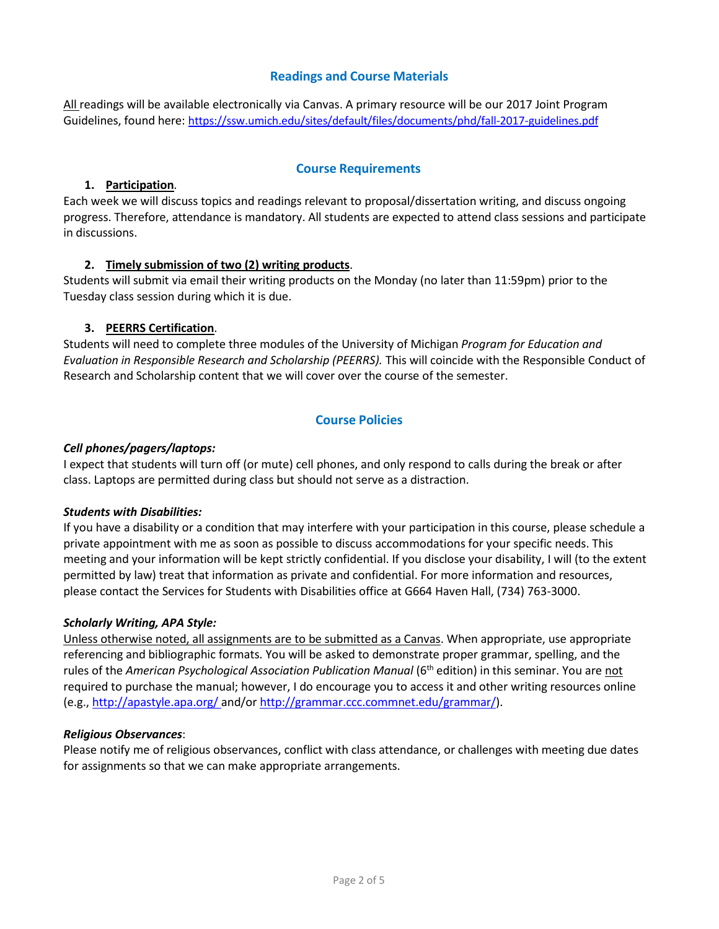# **Readings and Course Materials**

All readings will be available electronically via Canvas. A primary resource will be our 2017 Joint Program Guidelines, found here: <https://ssw.umich.edu/sites/default/files/documents/phd/fall-2017-guidelines.pdf>

## **Course Requirements**

#### **1. Participation**.

Each week we will discuss topics and readings relevant to proposal/dissertation writing, and discuss ongoing progress. Therefore, attendance is mandatory. All students are expected to attend class sessions and participate in discussions.

## **2. Timely submission of two (2) writing products**.

Students will submit via email their writing products on the Monday (no later than 11:59pm) prior to the Tuesday class session during which it is due.

## **3. PEERRS Certification**.

Students will need to complete three modules of the University of Michigan *Program for Education and Evaluation in Responsible Research and Scholarship (PEERRS).* This will coincide with the Responsible Conduct of Research and Scholarship content that we will cover over the course of the semester.

## **Course Policies**

#### *Cell phones/pagers/laptops:*

I expect that students will turn off (or mute) cell phones, and only respond to calls during the break or after class. Laptops are permitted during class but should not serve as a distraction.

#### *Students with Disabilities:*

If you have a disability or a condition that may interfere with your participation in this course, please schedule a private appointment with me as soon as possible to discuss accommodations for your specific needs. This meeting and your information will be kept strictly confidential. If you disclose your disability, I will (to the extent permitted by law) treat that information as private and confidential. For more information and resources, please contact the Services for Students with Disabilities office at G664 Haven Hall, (734) 763-3000.

#### *Scholarly Writing, APA Style:*

Unless otherwise noted, all assignments are to be submitted as a Canvas. When appropriate, use appropriate referencing and bibliographic formats. You will be asked to demonstrate proper grammar, spelling, and the rules of the *American Psychological Association Publication Manual* (6th edition) in this seminar. You are not required to purchase the manual; however, I do encourage you to access it and other writing resources online (e.g., <http://apastyle.apa.org/> and/or [http://grammar.ccc.commnet.edu/grammar/\)](http://grammar.ccc.commnet.edu/grammar/).

#### *Religious Observances*:

Please notify me of religious observances, conflict with class attendance, or challenges with meeting due dates for assignments so that we can make appropriate arrangements.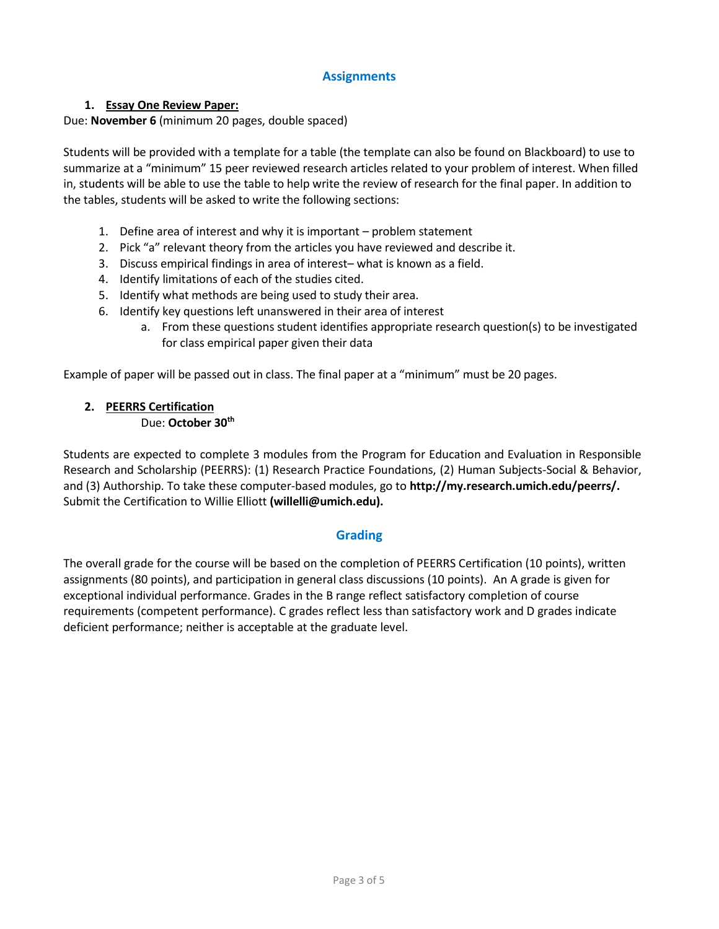# **Assignments**

# **1. Essay One Review Paper:**

## Due: **November 6** (minimum 20 pages, double spaced)

Students will be provided with a template for a table (the template can also be found on Blackboard) to use to summarize at a "minimum" 15 peer reviewed research articles related to your problem of interest. When filled in, students will be able to use the table to help write the review of research for the final paper. In addition to the tables, students will be asked to write the following sections:

- 1. Define area of interest and why it is important problem statement
- 2. Pick "a" relevant theory from the articles you have reviewed and describe it.
- 3. Discuss empirical findings in area of interest– what is known as a field.
- 4. Identify limitations of each of the studies cited.
- 5. Identify what methods are being used to study their area.
- 6. Identify key questions left unanswered in their area of interest
	- a. From these questions student identifies appropriate research question(s) to be investigated for class empirical paper given their data

Example of paper will be passed out in class. The final paper at a "minimum" must be 20 pages.

# **2. PEERRS Certification**

## Due: **October 30th**

Students are expected to complete 3 modules from the Program for Education and Evaluation in Responsible Research and Scholarship (PEERRS): (1) Research Practice Foundations, (2) Human Subjects-Social & Behavior, and (3) Authorship. To take these computer-based modules, go to **[http://my.research.umich.edu/peerrs/.](http://my.research.umich.edu/peerrs/)** Submit the Certification to Willie Elliott **(willelli@umich.edu).**

# **Grading**

The overall grade for the course will be based on the completion of PEERRS Certification (10 points), written assignments (80 points), and participation in general class discussions (10 points). An A grade is given for exceptional individual performance. Grades in the B range reflect satisfactory completion of course requirements (competent performance). C grades reflect less than satisfactory work and D grades indicate deficient performance; neither is acceptable at the graduate level.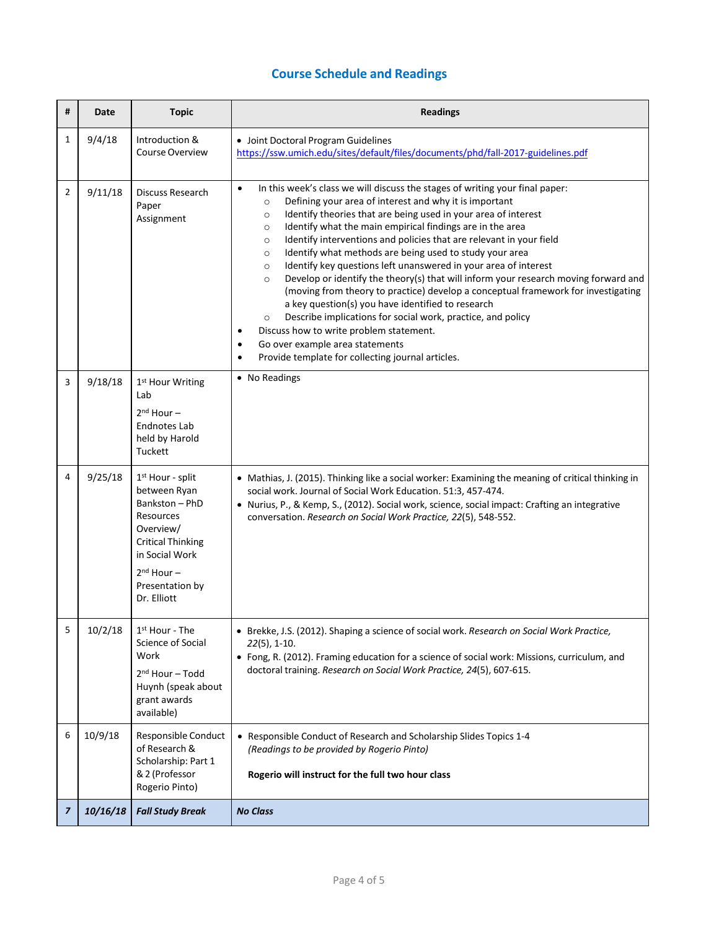# **Course Schedule and Readings**

| # | Date     | <b>Topic</b>                                                                                                                                                                               | <b>Readings</b>                                                                                                                                                                                                                                                                                                                                                                                                                                                                                                                                                                                                                                                                                                                                                                                                                                                                                                                                                                                                                              |
|---|----------|--------------------------------------------------------------------------------------------------------------------------------------------------------------------------------------------|----------------------------------------------------------------------------------------------------------------------------------------------------------------------------------------------------------------------------------------------------------------------------------------------------------------------------------------------------------------------------------------------------------------------------------------------------------------------------------------------------------------------------------------------------------------------------------------------------------------------------------------------------------------------------------------------------------------------------------------------------------------------------------------------------------------------------------------------------------------------------------------------------------------------------------------------------------------------------------------------------------------------------------------------|
| 1 | 9/4/18   | Introduction &<br>Course Overview                                                                                                                                                          | • Joint Doctoral Program Guidelines<br>https://ssw.umich.edu/sites/default/files/documents/phd/fall-2017-guidelines.pdf                                                                                                                                                                                                                                                                                                                                                                                                                                                                                                                                                                                                                                                                                                                                                                                                                                                                                                                      |
| 2 | 9/11/18  | Discuss Research<br>Paper<br>Assignment                                                                                                                                                    | In this week's class we will discuss the stages of writing your final paper:<br>$\bullet$<br>Defining your area of interest and why it is important<br>$\circ$<br>Identify theories that are being used in your area of interest<br>$\circ$<br>Identify what the main empirical findings are in the area<br>$\circ$<br>Identify interventions and policies that are relevant in your field<br>$\circ$<br>Identify what methods are being used to study your area<br>$\circ$<br>Identify key questions left unanswered in your area of interest<br>$\circ$<br>Develop or identify the theory(s) that will inform your research moving forward and<br>$\circ$<br>(moving from theory to practice) develop a conceptual framework for investigating<br>a key question(s) you have identified to research<br>Describe implications for social work, practice, and policy<br>$\circ$<br>Discuss how to write problem statement.<br>Go over example area statements<br>$\bullet$<br>Provide template for collecting journal articles.<br>$\bullet$ |
| 3 | 9/18/18  | 1 <sup>st</sup> Hour Writing<br>Lab<br>$2nd$ Hour $-$<br><b>Endnotes Lab</b><br>held by Harold<br>Tuckett                                                                                  | • No Readings                                                                                                                                                                                                                                                                                                                                                                                                                                                                                                                                                                                                                                                                                                                                                                                                                                                                                                                                                                                                                                |
| 4 | 9/25/18  | 1 <sup>st</sup> Hour - split<br>between Ryan<br>Bankston - PhD<br>Resources<br>Overview/<br><b>Critical Thinking</b><br>in Social Work<br>$2nd$ Hour $-$<br>Presentation by<br>Dr. Elliott | • Mathias, J. (2015). Thinking like a social worker: Examining the meaning of critical thinking in<br>social work. Journal of Social Work Education. 51:3, 457-474.<br>• Nurius, P., & Kemp, S., (2012). Social work, science, social impact: Crafting an integrative<br>conversation. Research on Social Work Practice, 22(5), 548-552.                                                                                                                                                                                                                                                                                                                                                                                                                                                                                                                                                                                                                                                                                                     |
| 5 | 10/2/18  | 1 <sup>st</sup> Hour - The<br>Science of Social<br>Work<br>$2nd$ Hour - Todd<br>Huynh (speak about<br>grant awards<br>available)                                                           | • Brekke, J.S. (2012). Shaping a science of social work. Research on Social Work Practice,<br>$22(5)$ , 1-10.<br>• Fong, R. (2012). Framing education for a science of social work: Missions, curriculum, and<br>doctoral training. Research on Social Work Practice, 24(5), 607-615.                                                                                                                                                                                                                                                                                                                                                                                                                                                                                                                                                                                                                                                                                                                                                        |
| 6 | 10/9/18  | Responsible Conduct<br>of Research &<br>Scholarship: Part 1<br>& 2 (Professor<br>Rogerio Pinto)                                                                                            | • Responsible Conduct of Research and Scholarship Slides Topics 1-4<br>(Readings to be provided by Rogerio Pinto)<br>Rogerio will instruct for the full two hour class                                                                                                                                                                                                                                                                                                                                                                                                                                                                                                                                                                                                                                                                                                                                                                                                                                                                       |
| 7 | 10/16/18 | <b>Fall Study Break</b>                                                                                                                                                                    | <b>No Class</b>                                                                                                                                                                                                                                                                                                                                                                                                                                                                                                                                                                                                                                                                                                                                                                                                                                                                                                                                                                                                                              |